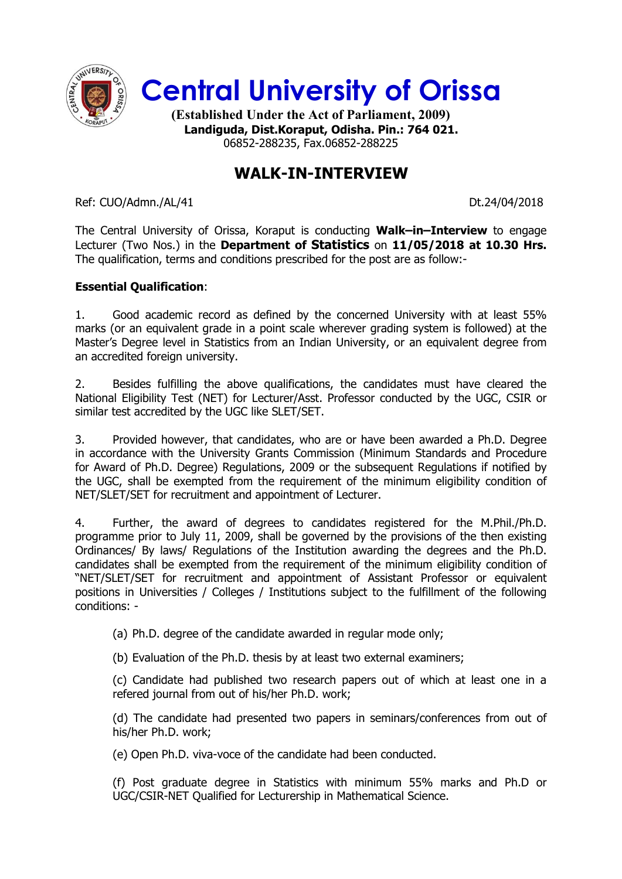

**Central University of Orissa**

**(Established Under the Act of Parliament, 2009) Landiguda, Dist.Koraput, Odisha. Pin.: 764 021.** 06852-288235, Fax.06852-288225

## **WALK-IN-INTERVIEW**

Ref: CUO/Admn./AL/41 Dt.24/04/2018

The Central University of Orissa, Koraput is conducting **Walk–in–Interview** to engage Lecturer (Two Nos.) in the **Department of Statistics** on **11/05/2018 at 10.30 Hrs.** The qualification, terms and conditions prescribed for the post are as follow:-

## **Essential Qualification**:

1. Good academic record as defined by the concerned University with at least 55% marks (or an equivalent grade in a point scale wherever grading system is followed) at the Master's Degree level in Statistics from an Indian University, or an equivalent degree from an accredited foreign university.

2. Besides fulfilling the above qualifications, the candidates must have cleared the National Eligibility Test (NET) for Lecturer/Asst. Professor conducted by the UGC, CSIR or similar test accredited by the UGC like SLET/SET.

3. Provided however, that candidates, who are or have been awarded a Ph.D. Degree in accordance with the University Grants Commission (Minimum Standards and Procedure for Award of Ph.D. Degree) Regulations, 2009 or the subsequent Regulations if notified by the UGC, shall be exempted from the requirement of the minimum eligibility condition of NET/SLET/SET for recruitment and appointment of Lecturer.

4. Further, the award of degrees to candidates registered for the M.Phil./Ph.D. programme prior to July 11, 2009, shall be governed by the provisions of the then existing Ordinances/ By laws/ Regulations of the Institution awarding the degrees and the Ph.D. candidates shall be exempted from the requirement of the minimum eligibility condition of "NET/SLET/SET for recruitment and appointment of Assistant Professor or equivalent positions in Universities / Colleges / Institutions subject to the fulfillment of the following conditions: -

(a) Ph.D. degree of the candidate awarded in regular mode only;

(b) Evaluation of the Ph.D. thesis by at least two external examiners;

(c) Candidate had published two research papers out of which at least one in a refered journal from out of his/her Ph.D. work;

(d) The candidate had presented two papers in seminars/conferences from out of his/her Ph.D. work;

(e) Open Ph.D. viva-voce of the candidate had been conducted.

(f) Post graduate degree in Statistics with minimum 55% marks and Ph.D or UGC/CSIR-NET Qualified for Lecturership in Mathematical Science.